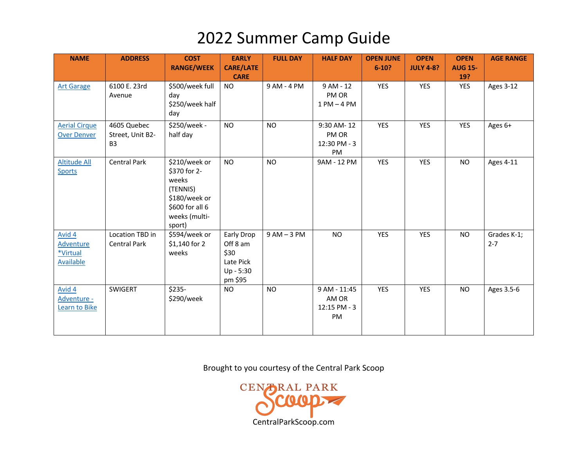| <b>NAME</b>                                                | <b>ADDRESS</b>                                    | <b>COST</b><br><b>RANGE/WEEK</b>                                                                                  | <b>EARLY</b><br><b>CARE/LATE</b><br><b>CARE</b>                     | <b>FULL DAY</b> | <b>HALF DAY</b>                             | <b>OPEN JUNE</b><br>$6 - 10?$ | <b>OPEN</b><br><b>JULY 4-8?</b> | <b>OPEN</b><br><b>AUG 15-</b><br>19? | <b>AGE RANGE</b>       |
|------------------------------------------------------------|---------------------------------------------------|-------------------------------------------------------------------------------------------------------------------|---------------------------------------------------------------------|-----------------|---------------------------------------------|-------------------------------|---------------------------------|--------------------------------------|------------------------|
| <b>Art Garage</b>                                          | 6100 E. 23rd<br>Avenue                            | \$500/week full<br>day<br>\$250/week half<br>day                                                                  | <b>NO</b>                                                           | 9 AM - 4 PM     | 9 AM - 12<br>PM OR<br>$1 PM - 4 PM$         | <b>YES</b>                    | YES                             | <b>YES</b>                           | <b>Ages 3-12</b>       |
| <b>Aerial Cirque</b><br><b>Over Denver</b>                 | 4605 Quebec<br>Street, Unit B2-<br>B <sub>3</sub> | \$250/week -<br>half day                                                                                          | <b>NO</b>                                                           | <b>NO</b>       | 9:30 AM-12<br>PM OR<br>12:30 PM - 3<br>PM   | <b>YES</b>                    | YES                             | <b>YES</b>                           | Ages 6+                |
| <b>Altitude All</b><br><b>Sports</b>                       | <b>Central Park</b>                               | \$210/week or<br>\$370 for 2-<br>weeks<br>(TENNIS)<br>\$180/week or<br>\$600 for all 6<br>weeks (multi-<br>sport) | <b>NO</b>                                                           | <b>NO</b>       | 9AM - 12 PM                                 | <b>YES</b>                    | <b>YES</b>                      | <b>NO</b>                            | Ages 4-11              |
| Avid 4<br><b>Adventure</b><br>*Virtual<br><b>Available</b> | Location TBD in<br><b>Central Park</b>            | \$594/week or<br>$$1,140$ for 2<br>weeks                                                                          | Early Drop<br>Off 8 am<br>\$30<br>Late Pick<br>Up - 5:30<br>pm \$95 | $9AM - 3PM$     | <b>NO</b>                                   | <b>YES</b>                    | YES                             | <b>NO</b>                            | Grades K-1;<br>$2 - 7$ |
| Avid 4<br>Adventure -<br>Learn to Bike                     | SWIGERT                                           | \$235-<br>\$290/week                                                                                              | <b>NO</b>                                                           | <b>NO</b>       | 9 AM - 11:45<br>AM OR<br>12:15 PM - 3<br>PM | <b>YES</b>                    | <b>YES</b>                      | <b>NO</b>                            | Ages 3.5-6             |

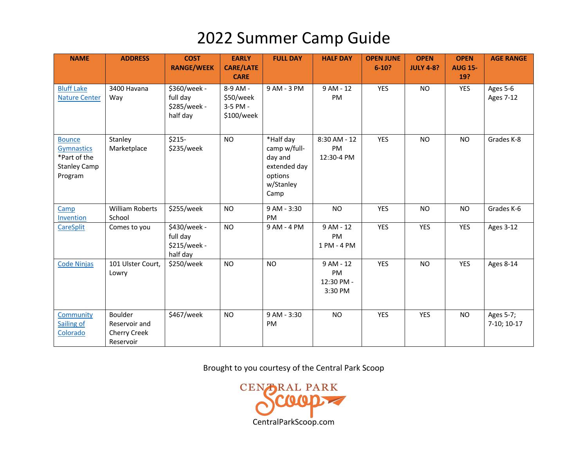| <b>NAME</b>                                                                          | <b>ADDRESS</b>                                        | <b>COST</b><br><b>RANGE/WEEK</b>                     | <b>EARLY</b><br><b>CARE/LATE</b><br><b>CARE</b> | <b>FULL DAY</b>                                                                      | <b>HALF DAY</b>                          | <b>OPEN JUNE</b><br>$6 - 10?$ | <b>OPEN</b><br><b>JULY 4-8?</b> | <b>OPEN</b><br><b>AUG 15-</b><br>19? | <b>AGE RANGE</b>             |
|--------------------------------------------------------------------------------------|-------------------------------------------------------|------------------------------------------------------|-------------------------------------------------|--------------------------------------------------------------------------------------|------------------------------------------|-------------------------------|---------------------------------|--------------------------------------|------------------------------|
| <b>Bluff Lake</b><br><b>Nature Center</b>                                            | 3400 Havana<br>Way                                    | \$360/week -<br>full day<br>\$285/week -<br>half day | 8-9 AM -<br>\$50/week<br>3-5 PM -<br>\$100/week | 9 AM - 3 PM                                                                          | $9AM - 12$<br>PM                         | <b>YES</b>                    | <b>NO</b>                       | <b>YES</b>                           | Ages 5-6<br><b>Ages 7-12</b> |
| <b>Bounce</b><br><b>Gymnastics</b><br>*Part of the<br><b>Stanley Camp</b><br>Program | Stanley<br>Marketplace                                | $$215-$<br>\$235/week                                | <b>NO</b>                                       | *Half day<br>camp w/full-<br>day and<br>extended day<br>options<br>w/Stanley<br>Camp | 8:30 AM - 12<br>PM<br>12:30-4 PM         | <b>YES</b>                    | <b>NO</b>                       | <b>NO</b>                            | Grades K-8                   |
| Camp<br>Invention                                                                    | <b>William Roberts</b><br>School                      | \$255/week                                           | <b>NO</b>                                       | 9 AM - 3:30<br><b>PM</b>                                                             | <b>NO</b>                                | <b>YES</b>                    | <b>NO</b>                       | <b>NO</b>                            | Grades K-6                   |
| <b>CareSplit</b>                                                                     | Comes to you                                          | \$430/week -<br>full day<br>\$215/week -<br>half day | <b>NO</b>                                       | 9 AM - 4 PM                                                                          | 9 AM - 12<br>PM<br>1 PM - 4 PM           | <b>YES</b>                    | <b>YES</b>                      | <b>YES</b>                           | <b>Ages 3-12</b>             |
| <b>Code Ninjas</b>                                                                   | 101 Ulster Court,<br>Lowry                            | \$250/week                                           | <b>NO</b>                                       | <b>NO</b>                                                                            | 9 AM - 12<br>PM<br>12:30 PM -<br>3:30 PM | <b>YES</b>                    | <b>NO</b>                       | <b>YES</b>                           | Ages 8-14                    |
| Community<br>Sailing of<br>Colorado                                                  | Boulder<br>Reservoir and<br>Cherry Creek<br>Reservoir | \$467/week                                           | <b>NO</b>                                       | 9 AM - 3:30<br>PM                                                                    | <b>NO</b>                                | <b>YES</b>                    | <b>YES</b>                      | <b>NO</b>                            | Ages 5-7;<br>7-10; 10-17     |

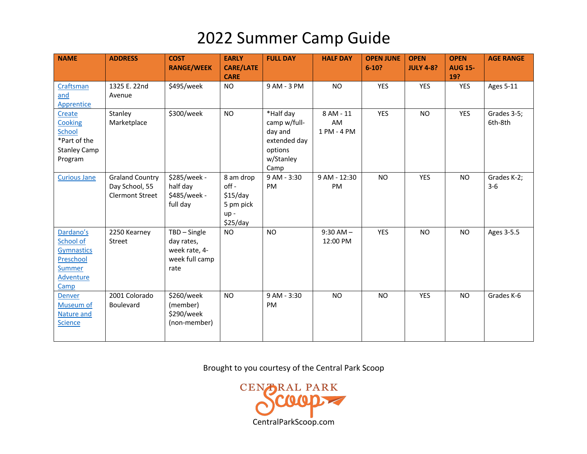| <b>NAME</b>                                                                             | <b>ADDRESS</b>                                                     | <b>COST</b><br><b>RANGE/WEEK</b>                                      | <b>EARLY</b><br><b>CARE/LATE</b><br><b>CARE</b>                  | <b>FULL DAY</b>                                                                      | <b>HALF DAY</b>                | <b>OPEN JUNE</b><br>$6 - 10?$ | <b>OPEN</b><br><b>JULY 4-8?</b> | <b>OPEN</b><br><b>AUG 15-</b><br>19? | <b>AGE RANGE</b>       |
|-----------------------------------------------------------------------------------------|--------------------------------------------------------------------|-----------------------------------------------------------------------|------------------------------------------------------------------|--------------------------------------------------------------------------------------|--------------------------------|-------------------------------|---------------------------------|--------------------------------------|------------------------|
| Craftsman<br>and<br>Apprentice                                                          | 1325 E. 22nd<br>Avenue                                             | \$495/week                                                            | <b>NO</b>                                                        | 9 AM - 3 PM                                                                          | <b>NO</b>                      | <b>YES</b>                    | <b>YES</b>                      | <b>YES</b>                           | Ages 5-11              |
| Create<br>Cooking<br>School<br>*Part of the<br><b>Stanley Camp</b><br>Program           | Stanley<br>Marketplace                                             | \$300/week                                                            | <b>NO</b>                                                        | *Half day<br>camp w/full-<br>day and<br>extended day<br>options<br>w/Stanley<br>Camp | 8 AM - 11<br>AM<br>1 PM - 4 PM | <b>YES</b>                    | <b>NO</b>                       | <b>YES</b>                           | Grades 3-5;<br>6th-8th |
| <b>Curious Jane</b>                                                                     | <b>Graland Country</b><br>Day School, 55<br><b>Clermont Street</b> | \$285/week -<br>half day<br>\$485/week -<br>full day                  | 8 am drop<br>$off -$<br>\$15/day<br>5 pm pick<br>up-<br>\$25/day | 9 AM - 3:30<br>PM                                                                    | 9 AM - 12:30<br>PM             | <b>NO</b>                     | <b>YES</b>                      | <b>NO</b>                            | Grades K-2;<br>$3-6$   |
| Dardano's<br>School of<br><b>Gymnastics</b><br>Preschool<br>Summer<br>Adventure<br>Camp | 2250 Kearney<br>Street                                             | TBD - Single<br>day rates,<br>week rate, 4-<br>week full camp<br>rate | <b>NO</b>                                                        | <b>NO</b>                                                                            | $9:30$ AM $-$<br>12:00 PM      | <b>YES</b>                    | <b>NO</b>                       | <b>NO</b>                            | Ages 3-5.5             |
| Denver<br>Museum of<br>Nature and<br><b>Science</b>                                     | 2001 Colorado<br><b>Boulevard</b>                                  | \$260/week<br>(member)<br>\$290/week<br>(non-member)                  | <b>NO</b>                                                        | 9 AM - 3:30<br>PM                                                                    | <b>NO</b>                      | <b>NO</b>                     | <b>YES</b>                      | <b>NO</b>                            | Grades K-6             |

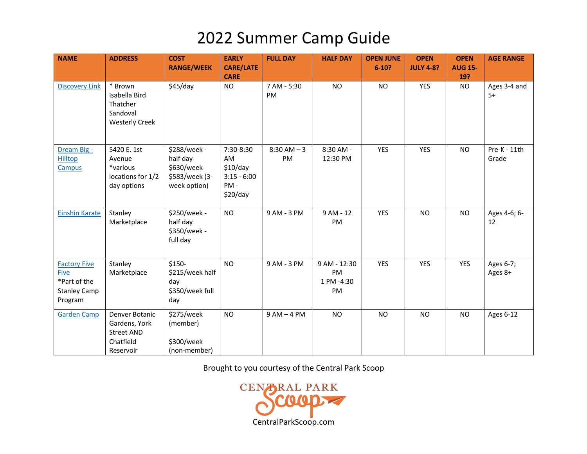| <b>NAME</b>                                                                          | <b>ADDRESS</b>                                                                 | <b>COST</b><br><b>RANGE/WEEK</b>                                         | <b>EARLY</b><br><b>CARE/LATE</b>                                | <b>FULL DAY</b>      | <b>HALF DAY</b>                        | <b>OPEN JUNE</b><br>$6 - 10?$ | <b>OPEN</b><br><b>JULY 4-8?</b> | <b>OPEN</b><br><b>AUG 15-</b> | <b>AGE RANGE</b>      |
|--------------------------------------------------------------------------------------|--------------------------------------------------------------------------------|--------------------------------------------------------------------------|-----------------------------------------------------------------|----------------------|----------------------------------------|-------------------------------|---------------------------------|-------------------------------|-----------------------|
| <b>Discovery Link</b>                                                                | * Brown<br>Isabella Bird<br>Thatcher<br>Sandoval<br><b>Westerly Creek</b>      | \$45/day                                                                 | <b>CARE</b><br><b>NO</b>                                        | 7 AM - 5:30<br>PM    | <b>NO</b>                              | <b>NO</b>                     | <b>YES</b>                      | 19?<br><b>NO</b>              | Ages 3-4 and<br>$5+$  |
| Dream Big -<br>Hilltop<br>Campus                                                     | 5420 E. 1st<br>Avenue<br>*various<br>locations for 1/2<br>day options          | \$288/week -<br>half day<br>\$630/week<br>\$583/week (3-<br>week option) | 7:30-8:30<br>AM<br>\$10/day<br>$3:15 - 6:00$<br>PM-<br>\$20/day | $8:30$ AM $-3$<br>PM | 8:30 AM -<br>12:30 PM                  | <b>YES</b>                    | <b>YES</b>                      | <b>NO</b>                     | Pre-K - 11th<br>Grade |
| <b>Einshin Karate</b>                                                                | Stanley<br>Marketplace                                                         | \$250/week -<br>half day<br>\$350/week -<br>full day                     | <b>NO</b>                                                       | 9 AM - 3 PM          | 9 AM - 12<br>PM                        | <b>YES</b>                    | <b>NO</b>                       | <b>NO</b>                     | Ages 4-6; 6-<br>12    |
| <b>Factory Five</b><br><b>Five</b><br>*Part of the<br><b>Stanley Camp</b><br>Program | Stanley<br>Marketplace                                                         | $$150-$<br>\$215/week half<br>day<br>\$350/week full<br>day              | <b>NO</b>                                                       | 9 AM - 3 PM          | 9 AM - 12:30<br>PM<br>1 PM -4:30<br>PM | <b>YES</b>                    | <b>YES</b>                      | <b>YES</b>                    | Ages 6-7;<br>Ages 8+  |
| <b>Garden Camp</b>                                                                   | Denver Botanic<br>Gardens, York<br><b>Street AND</b><br>Chatfield<br>Reservoir | \$275/week<br>(member)<br>\$300/week<br>(non-member)                     | <b>NO</b>                                                       | $9AM - 4PM$          | <b>NO</b>                              | <b>NO</b>                     | <b>NO</b>                       | <b>NO</b>                     | Ages 6-12             |

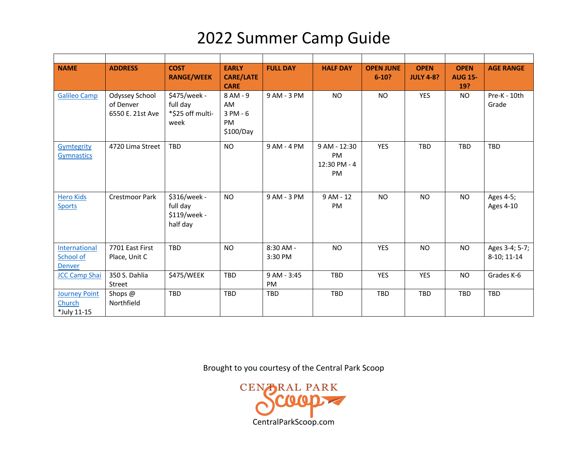| <b>NAME</b>                                   | <b>ADDRESS</b>                                  | <b>COST</b><br><b>RANGE/WEEK</b>                     | <b>EARLY</b><br><b>CARE/LATE</b><br><b>CARE</b> | <b>FULL DAY</b>      | <b>HALF DAY</b>                                 | <b>OPEN JUNE</b><br>$6 - 10?$ | <b>OPEN</b><br><b>JULY 4-8?</b> | <b>OPEN</b><br><b>AUG 15-</b><br>19? | <b>AGE RANGE</b>              |
|-----------------------------------------------|-------------------------------------------------|------------------------------------------------------|-------------------------------------------------|----------------------|-------------------------------------------------|-------------------------------|---------------------------------|--------------------------------------|-------------------------------|
| <b>Galileo Camp</b>                           | Odyssey School<br>of Denver<br>6550 E. 21st Ave | \$475/week -<br>full day<br>*\$25 off multi-<br>week | 8 AM - 9<br>AM<br>3 PM - 6<br>PM<br>\$100/Day   | 9 AM - 3 PM          | <b>NO</b>                                       | <b>NO</b>                     | <b>YES</b>                      | <b>NO</b>                            | Pre-K - 10th<br>Grade         |
| Gymtegrity<br><b>Gymnastics</b>               | 4720 Lima Street                                | <b>TBD</b>                                           | <b>NO</b>                                       | 9 AM - 4 PM          | 9 AM - 12:30<br><b>PM</b><br>12:30 PM - 4<br>PM | <b>YES</b>                    | <b>TBD</b>                      | TBD                                  | TBD                           |
| <b>Hero Kids</b><br><b>Sports</b>             | Crestmoor Park                                  | \$316/week -<br>full day<br>\$119/week -<br>half day | <b>NO</b>                                       | 9 AM - 3 PM          | $9AM - 12$<br>PM                                | <b>NO</b>                     | <b>NO</b>                       | <b>NO</b>                            | Ages 4-5;<br>Ages 4-10        |
| International<br>School of<br><b>Denver</b>   | 7701 East First<br>Place, Unit C                | <b>TBD</b>                                           | <b>NO</b>                                       | 8:30 AM -<br>3:30 PM | <b>NO</b>                                       | <b>YES</b>                    | <b>NO</b>                       | <b>NO</b>                            | Ages 3-4; 5-7;<br>8-10; 11-14 |
| <b>JCC Camp Shai</b>                          | 350 S. Dahlia<br>Street                         | \$475/WEEK                                           | TBD                                             | 9 AM - 3:45<br>PM    | TBD                                             | <b>YES</b>                    | <b>YES</b>                      | <b>NO</b>                            | Grades K-6                    |
| <b>Journey Point</b><br>Church<br>*July 11-15 | Shops @<br>Northfield                           | <b>TBD</b>                                           | <b>TBD</b>                                      | <b>TBD</b>           | <b>TBD</b>                                      | TBD                           | <b>TBD</b>                      | TBD                                  | <b>TBD</b>                    |

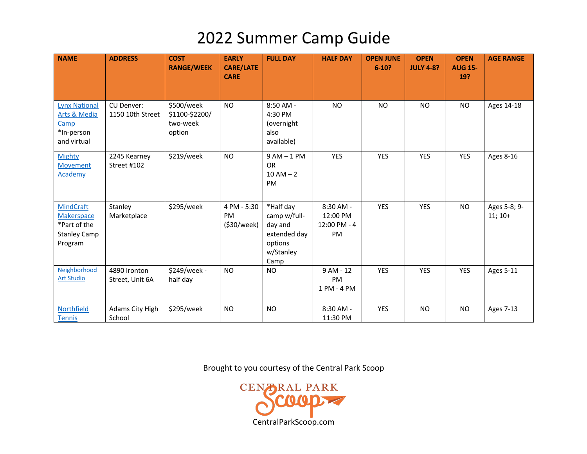| <b>NAME</b>                                                                             | <b>ADDRESS</b>                  | <b>COST</b><br><b>RANGE/WEEK</b>                   | <b>EARLY</b><br><b>CARE/LATE</b><br><b>CARE</b> | <b>FULL DAY</b>                                                                      | <b>HALF DAY</b>                             | <b>OPEN JUNE</b><br>$6 - 10?$ | <b>OPEN</b><br><b>JULY 4-8?</b> | <b>OPEN</b><br><b>AUG 15-</b><br>19? | <b>AGE RANGE</b>          |
|-----------------------------------------------------------------------------------------|---------------------------------|----------------------------------------------------|-------------------------------------------------|--------------------------------------------------------------------------------------|---------------------------------------------|-------------------------------|---------------------------------|--------------------------------------|---------------------------|
| <b>Lynx National</b><br>Arts & Media<br>Camp<br>*In-person<br>and virtual               | CU Denver:<br>1150 10th Street  | \$500/week<br>\$1100-\$2200/<br>two-week<br>option | <b>NO</b>                                       | $8:50$ AM -<br>4:30 PM<br>(overnight<br>also<br>available)                           | <b>NO</b>                                   | <b>NO</b>                     | <b>NO</b>                       | <b>NO</b>                            | Ages 14-18                |
| <b>Mighty</b><br><b>Movement</b><br>Academy                                             | 2245 Kearney<br>Street #102     | \$219/week                                         | N <sub>O</sub>                                  | $9AM - 1PM$<br><b>OR</b><br>$10 AM - 2$<br><b>PM</b>                                 | <b>YES</b>                                  | <b>YES</b>                    | <b>YES</b>                      | <b>YES</b>                           | Ages 8-16                 |
| <b>MindCraft</b><br><b>Makerspace</b><br>*Part of the<br><b>Stanley Camp</b><br>Program | Stanley<br>Marketplace          | \$295/week                                         | 4 PM - 5:30<br>PM<br>(\$30/week)                | *Half day<br>camp w/full-<br>day and<br>extended day<br>options<br>w/Stanley<br>Camp | 8:30 AM -<br>12:00 PM<br>12:00 PM - 4<br>PM | <b>YES</b>                    | <b>YES</b>                      | <b>NO</b>                            | Ages 5-8; 9-<br>$11; 10+$ |
| Neighborhood<br><b>Art Studio</b>                                                       | 4890 Ironton<br>Street, Unit 6A | \$249/week -<br>half day                           | N <sub>O</sub>                                  | <b>NO</b>                                                                            | $9AM - 12$<br>PM<br>1 PM - 4 PM             | <b>YES</b>                    | <b>YES</b>                      | <b>YES</b>                           | <b>Ages 5-11</b>          |
| Northfield<br><b>Tennis</b>                                                             | Adams City High<br>School       | \$295/week                                         | <b>NO</b>                                       | <b>NO</b>                                                                            | $8:30$ AM -<br>11:30 PM                     | <b>YES</b>                    | <b>NO</b>                       | <b>NO</b>                            | <b>Ages 7-13</b>          |

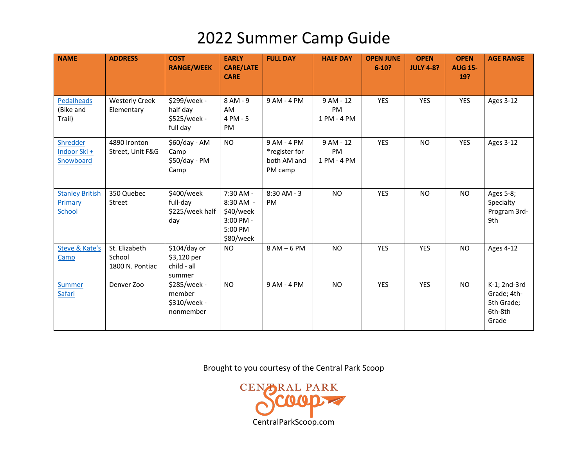| <b>NAME</b>                                        | <b>ADDRESS</b>                             | <b>COST</b><br><b>RANGE/WEEK</b>                     | <b>EARLY</b><br><b>CARE/LATE</b><br><b>CARE</b>                          | <b>FULL DAY</b>                                        | <b>HALF DAY</b>                       | <b>OPEN JUNE</b><br>$6 - 10?$ | <b>OPEN</b><br><b>JULY 4-8?</b> | <b>OPEN</b><br><b>AUG 15-</b><br>19? | <b>AGE RANGE</b>                                              |
|----------------------------------------------------|--------------------------------------------|------------------------------------------------------|--------------------------------------------------------------------------|--------------------------------------------------------|---------------------------------------|-------------------------------|---------------------------------|--------------------------------------|---------------------------------------------------------------|
| <b>Pedalheads</b><br>(Bike and<br>Trail)           | <b>Westerly Creek</b><br>Elementary        | \$299/week -<br>half day<br>\$525/week -<br>full day | 8 AM - 9<br>AM<br>4 PM - 5<br>PM                                         | 9 AM - 4 PM                                            | 9 AM - 12<br>PM<br>1 PM - 4 PM        | <b>YES</b>                    | <b>YES</b>                      | <b>YES</b>                           | <b>Ages 3-12</b>                                              |
| Shredder<br>Indoor Ski +<br>Snowboard              | 4890 Ironton<br>Street, Unit F&G           | \$60/day - AM<br>Camp<br>\$50/day - PM<br>Camp       | <b>NO</b>                                                                | 9 AM - 4 PM<br>*register for<br>both AM and<br>PM camp | 9 AM - 12<br><b>PM</b><br>1 PM - 4 PM | <b>YES</b>                    | <b>NO</b>                       | <b>YES</b>                           | <b>Ages 3-12</b>                                              |
| <b>Stanley British</b><br>Primary<br><b>School</b> | 350 Quebec<br>Street                       | \$400/week<br>full-day<br>\$225/week half<br>day     | 7:30 AM -<br>8:30 AM -<br>\$40/week<br>3:00 PM -<br>5:00 PM<br>\$80/week | 8:30 AM - 3<br><b>PM</b>                               | <b>NO</b>                             | <b>YES</b>                    | <b>NO</b>                       | <b>NO</b>                            | Ages 5-8;<br>Specialty<br>Program 3rd-<br>9th                 |
| <b>Steve &amp; Kate's</b><br>Camp                  | St. Elizabeth<br>School<br>1800 N. Pontiac | \$104/day or<br>\$3,120 per<br>child - all<br>summer | <b>NO</b>                                                                | $8AM - 6PM$                                            | <b>NO</b>                             | <b>YES</b>                    | <b>YES</b>                      | <b>NO</b>                            | <b>Ages 4-12</b>                                              |
| <b>Summer</b><br>Safari                            | Denver Zoo                                 | \$285/week -<br>member<br>\$310/week -<br>nonmember  | <b>NO</b>                                                                | 9 AM - 4 PM                                            | <b>NO</b>                             | <b>YES</b>                    | <b>YES</b>                      | <b>NO</b>                            | K-1; 2nd-3rd<br>Grade; 4th-<br>5th Grade;<br>6th-8th<br>Grade |

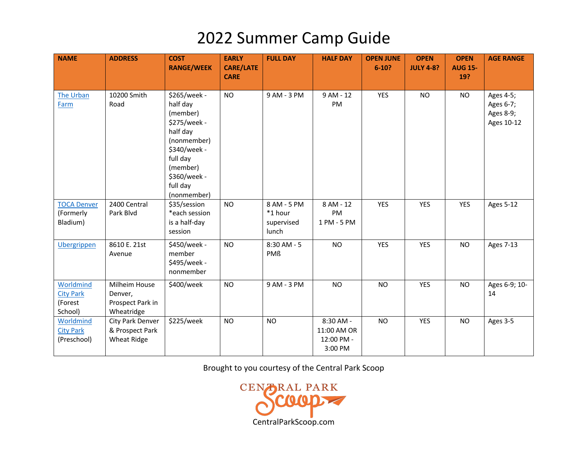| <b>NAME</b>                                         | <b>ADDRESS</b>                                             | <b>COST</b><br><b>RANGE/WEEK</b>                                                                                                                                   | <b>EARLY</b><br><b>CARE/LATE</b><br><b>CARE</b> | <b>FULL DAY</b>                               | <b>HALF DAY</b>                                   | <b>OPEN JUNE</b><br>$6 - 10?$ | <b>OPEN</b><br><b>JULY 4-8?</b> | <b>OPEN</b><br><b>AUG 15-</b><br>19? | <b>AGE RANGE</b>                                  |
|-----------------------------------------------------|------------------------------------------------------------|--------------------------------------------------------------------------------------------------------------------------------------------------------------------|-------------------------------------------------|-----------------------------------------------|---------------------------------------------------|-------------------------------|---------------------------------|--------------------------------------|---------------------------------------------------|
| The Urban<br>Farm                                   | 10200 Smith<br>Road                                        | \$265/week -<br>half day<br>(member)<br>\$275/week -<br>half day<br>(nonmember)<br>\$340/week -<br>full day<br>(member)<br>\$360/week -<br>full day<br>(nonmember) | <b>NO</b>                                       | 9 AM - 3 PM                                   | $9AM - 12$<br>PM                                  | <b>YES</b>                    | <b>NO</b>                       | <b>NO</b>                            | Ages 4-5;<br>Ages 6-7;<br>Ages 8-9;<br>Ages 10-12 |
| <b>TOCA Denver</b><br>(Formerly<br>Bladium)         | 2400 Central<br>Park Blvd                                  | \$35/session<br>*each session<br>is a half-day<br>session                                                                                                          | <b>NO</b>                                       | 8 AM - 5 PM<br>*1 hour<br>supervised<br>lunch | 8 AM - 12<br>PM<br>1 PM - 5 PM                    | <b>YES</b>                    | <b>YES</b>                      | <b>YES</b>                           | <b>Ages 5-12</b>                                  |
| <b>Ubergrippen</b>                                  | 8610 E. 21st<br>Avenue                                     | \$450/week -<br>member<br>\$495/week -<br>nonmember                                                                                                                | <b>NO</b>                                       | 8:30 AM - 5<br><b>PMß</b>                     | <b>NO</b>                                         | <b>YES</b>                    | <b>YES</b>                      | <b>NO</b>                            | <b>Ages 7-13</b>                                  |
| Worldmind<br><b>City Park</b><br>(Forest<br>School) | Milheim House<br>Denver,<br>Prospect Park in<br>Wheatridge | \$400/week                                                                                                                                                         | <b>NO</b>                                       | 9 AM - 3 PM                                   | <b>NO</b>                                         | <b>NO</b>                     | YES                             | <b>NO</b>                            | Ages 6-9; 10-<br>14                               |
| Worldmind<br><b>City Park</b><br>(Preschool)        | City Park Denver<br>& Prospect Park<br><b>Wheat Ridge</b>  | \$225/week                                                                                                                                                         | <b>NO</b>                                       | <b>NO</b>                                     | 8:30 AM -<br>11:00 AM OR<br>12:00 PM -<br>3:00 PM | <b>NO</b>                     | <b>YES</b>                      | <b>NO</b>                            | Ages 3-5                                          |